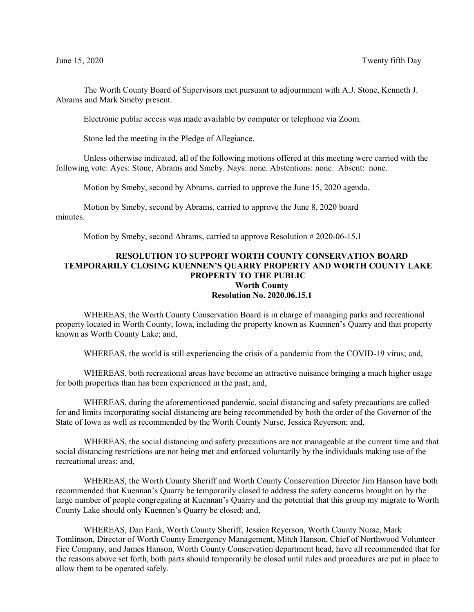The Worth County Board of Supervisors met pursuant to adjournment with A.J. Stone, Kenneth J. Abrams and Mark Smeby present.

Electronic public access was made available by computer or telephone via Zoom.

Stone led the meeting in the Pledge of Allegiance.

Unless otherwise indicated, all of the following motions offered at this meeting were carried with the following vote: Ayes: Stone, Abrams and Smeby. Nays: none. Abstentions: none. Absent: none.

Motion by Smeby, second by Abrams, carried to approve the June 15, 2020 agenda.

Motion by Smeby, second by Abrams, carried to approve the June 8, 2020 board minutes.

Motion by Smeby, second Abrams, carried to approve Resolution # 2020-06-15.1

## **RESOLUTION TO SUPPORT WORTH COUNTY CONSERVATION BOARD TEMPORARILY CLOSING KUENNEN'S QUARRY PROPERTY AND WORTH COUNTY LAKE PROPERTY TO THE PUBLIC Worth County Resolution No. 2020.06.15.1**

WHEREAS, the Worth County Conservation Board is in charge of managing parks and recreational property located in Worth County, Iowa, including the property known as Kuennen's Quarry and that property known as Worth County Lake; and,

WHEREAS, the world is still experiencing the crisis of a pandemic from the COVID-19 virus; and,

WHEREAS, both recreational areas have become an attractive nuisance bringing a much higher usage for both properties than has been experienced in the past; and,

WHEREAS, during the aforementioned pandemic, social distancing and safety precautions are called for and limits incorporating social distancing are being recommended by both the order of the Governor of the State of Iowa as well as recommended by the Worth County Nurse, Jessica Reyerson; and,

WHEREAS, the social distancing and safety precautions are not manageable at the current time and that social distancing restrictions are not being met and enforced voluntarily by the individuals making use of the recreational areas; and,

WHEREAS, the Worth County Sheriff and Worth County Conservation Director Jim Hanson have both recommended that Kuennan's Quarry be temporarily closed to address the safety concerns brought on by the large number of people congregating at Kuennan's Quarry and the potential that this group my migrate to Worth County Lake should only Kuennen's Quarry be closed; and,

WHEREAS, Dan Fank, Worth County Sheriff, Jessica Reyerson, Worth County Nurse, Mark Tomlinson, Director of Worth County Emergency Management, Mitch Hanson, Chief of Northwood Volunteer Fire Company, and James Hanson, Worth County Conservation department head, have all recommended that for the reasons above set forth, both parts should temporarily be closed until rules and procedures are put in place to allow them to be operated safely.